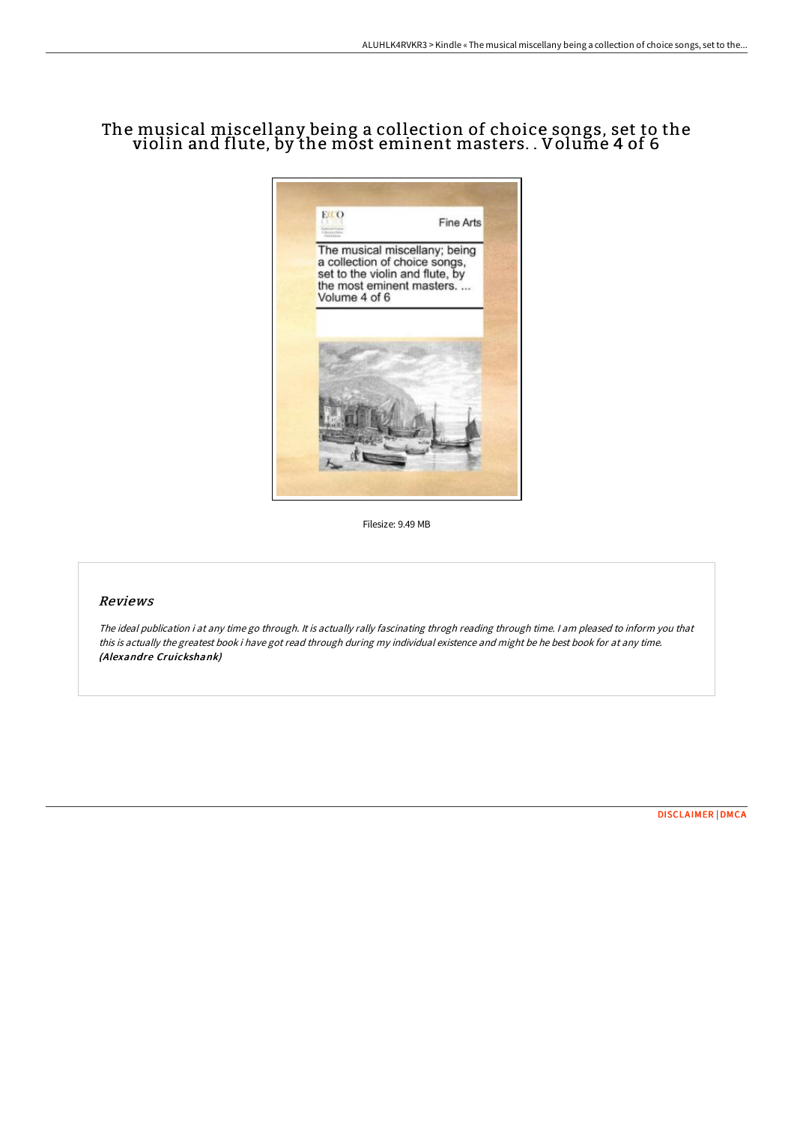# The musical miscellany being a collection of choice songs, set to the violin and flute, by the most eminent masters. . Volume 4 of 6



Filesize: 9.49 MB

## Reviews

The ideal publication i at any time go through. It is actually rally fascinating throgh reading through time. <sup>I</sup> am pleased to inform you that this is actually the greatest book i have got read through during my individual existence and might be he best book for at any time. (Alexandre Cruickshank)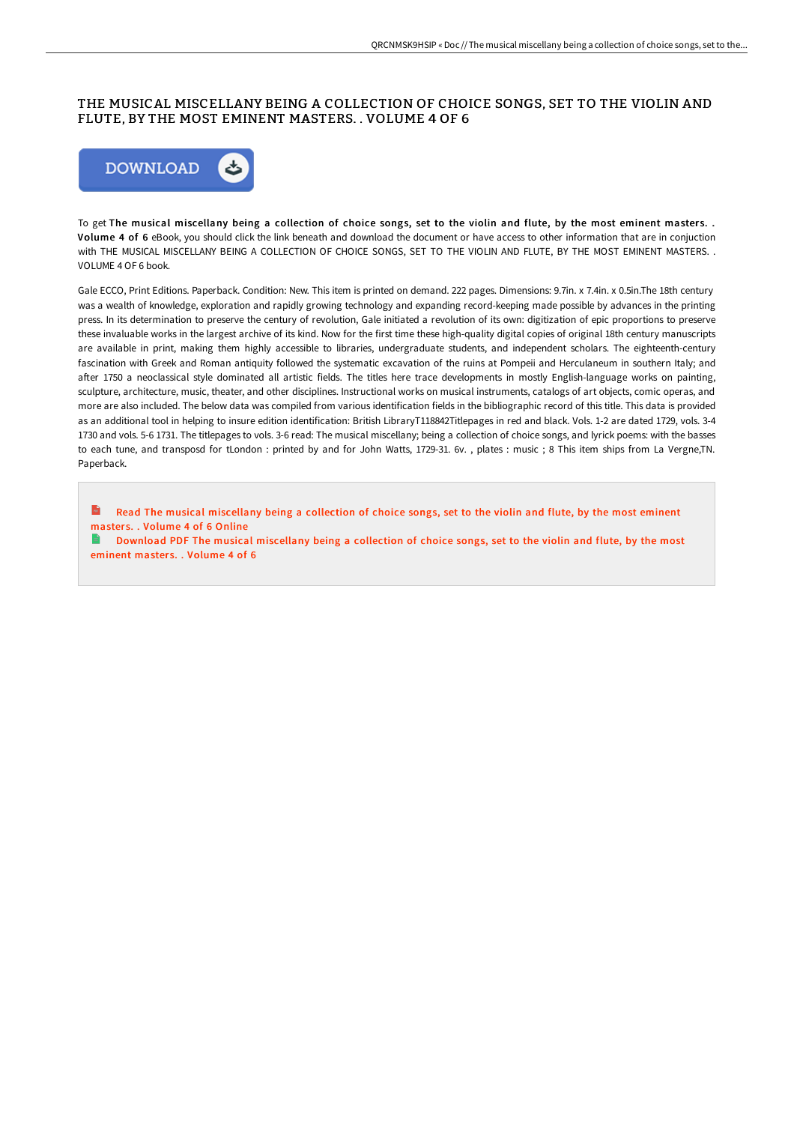### THE MUSICAL MISCELLANY BEING A COLLECTION OF CHOICE SONGS, SET TO THE VIOLIN AND FLUTE, BY THE MOST EMINENT MASTERS. . VOLUME 4 OF 6



To get The musical miscellany being a collection of choice songs, set to the violin and flute, by the most eminent masters. . Volume 4 of 6 eBook, you should click the link beneath and download the document or have access to other information that are in conjuction with THE MUSICAL MISCELLANY BEING A COLLECTION OF CHOICE SONGS, SET TO THE VIOLIN AND FLUTE, BY THE MOST EMINENT MASTERS. . VOLUME 4 OF 6 book.

Gale ECCO, Print Editions. Paperback. Condition: New. This item is printed on demand. 222 pages. Dimensions: 9.7in. x 7.4in. x 0.5in.The 18th century was a wealth of knowledge, exploration and rapidly growing technology and expanding record-keeping made possible by advances in the printing press. In its determination to preserve the century of revolution, Gale initiated a revolution of its own: digitization of epic proportions to preserve these invaluable works in the largest archive of its kind. Now for the first time these high-quality digital copies of original 18th century manuscripts are available in print, making them highly accessible to libraries, undergraduate students, and independent scholars. The eighteenth-century fascination with Greek and Roman antiquity followed the systematic excavation of the ruins at Pompeii and Herculaneum in southern Italy; and after 1750 a neoclassical style dominated all artistic fields. The titles here trace developments in mostly English-language works on painting, sculpture, architecture, music, theater, and other disciplines. Instructional works on musical instruments, catalogs of art objects, comic operas, and more are also included. The below data was compiled from various identification fields in the bibliographic record of this title. This data is provided as an additional tool in helping to insure edition identification: British LibraryT118842Titlepages in red and black. Vols. 1-2 are dated 1729, vols. 3-4 1730 and vols. 5-6 1731. The titlepages to vols. 3-6 read: The musical miscellany; being a collection of choice songs, and lyrick poems: with the basses to each tune, and transposd for tLondon : printed by and for John Watts, 1729-31. 6v. , plates : music ; 8 This item ships from La Vergne,TN. Paperback.

 $\mathbf{m}$ Read The musical [miscellany](http://www.bookdirs.com/the-musical-miscellany-being-a-collection-of-cho-1.html) being a collection of choice songs, set to the violin and flute, by the most eminent masters. . Volume 4 of 6 Online

E. Download PDF The musical [miscellany](http://www.bookdirs.com/the-musical-miscellany-being-a-collection-of-cho-1.html) being a collection of choice songs, set to the violin and flute, by the most eminent masters. . Volume 4 of 6